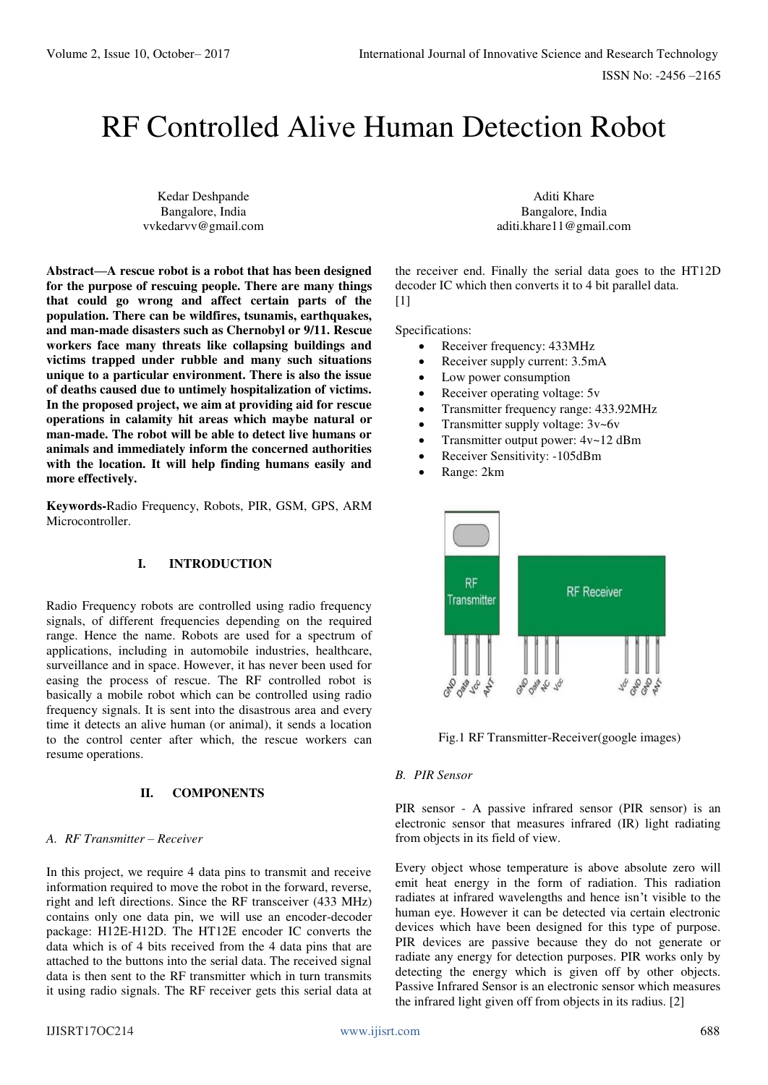# RF Controlled Alive Human Detection Robot

Kedar Deshpande Bangalore, India vvkedarvv@gmail.com

**Abstract—A rescue robot is a robot that has been designed for the purpose of rescuing people. There are many things that could go wrong and affect certain parts of the population. There can be wildfires, tsunamis, earthquakes, and man-made disasters such as Chernobyl or 9/11. Rescue workers face many threats like collapsing buildings and victims trapped under rubble and many such situations unique to a particular environment. There is also the issue of deaths caused due to untimely hospitalization of victims. In the proposed project, we aim at providing aid for rescue operations in calamity hit areas which maybe natural or man-made. The robot will be able to detect live humans or animals and immediately inform the concerned authorities with the location. It will help finding humans easily and more effectively.** 

**Keywords-**Radio Frequency, Robots, PIR, GSM, GPS, ARM Microcontroller.

## **I. INTRODUCTION**

Radio Frequency robots are controlled using radio frequency signals, of different frequencies depending on the required range. Hence the name. Robots are used for a spectrum of applications, including in automobile industries, healthcare, surveillance and in space. However, it has never been used for easing the process of rescue. The RF controlled robot is basically a mobile robot which can be controlled using radio frequency signals. It is sent into the disastrous area and every time it detects an alive human (or animal), it sends a location to the control center after which, the rescue workers can resume operations.

#### **II. COMPONENTS**

#### *A. RF Transmitter – Receiver*

In this project, we require 4 data pins to transmit and receive information required to move the robot in the forward, reverse, right and left directions. Since the RF transceiver (433 MHz) contains only one data pin, we will use an encoder-decoder package: H12E-H12D. The HT12E encoder IC converts the data which is of 4 bits received from the 4 data pins that are attached to the buttons into the serial data. The received signal data is then sent to the RF transmitter which in turn transmits it using radio signals. The RF receiver gets this serial data at

Aditi Khare Bangalore, India aditi.khare11@gmail.com

the receiver end. Finally the serial data goes to the HT12D decoder IC which then converts it to 4 bit parallel data.  $[1]$ 

Specifications:

- Receiver frequency: 433MHz
- Receiver supply current: 3.5mA
- Low power consumption
- Receiver operating voltage: 5v
- Transmitter frequency range: 433.92MHz
- Transmitter supply voltage:  $3v$ ~6v
- Transmitter output power: 4v~12 dBm
- Receiver Sensitivity: -105dBm
- Range: 2km



Fig.1 RF Transmitter-Receiver(google images)

#### *B. PIR Sensor*

PIR sensor - A passive infrared sensor (PIR sensor) is an electronic sensor that measures infrared (IR) light radiating from objects in its field of view.

Every object whose temperature is above absolute zero will emit heat energy in the form of radiation. This radiation radiates at infrared wavelengths and hence isn't visible to the human eye. However it can be detected via certain electronic devices which have been designed for this type of purpose. PIR devices are passive because they do not generate or radiate any energy for detection purposes. PIR works only by detecting the energy which is given off by other objects. Passive Infrared Sensor is an electronic sensor which measures the infrared light given off from objects in its radius. [2]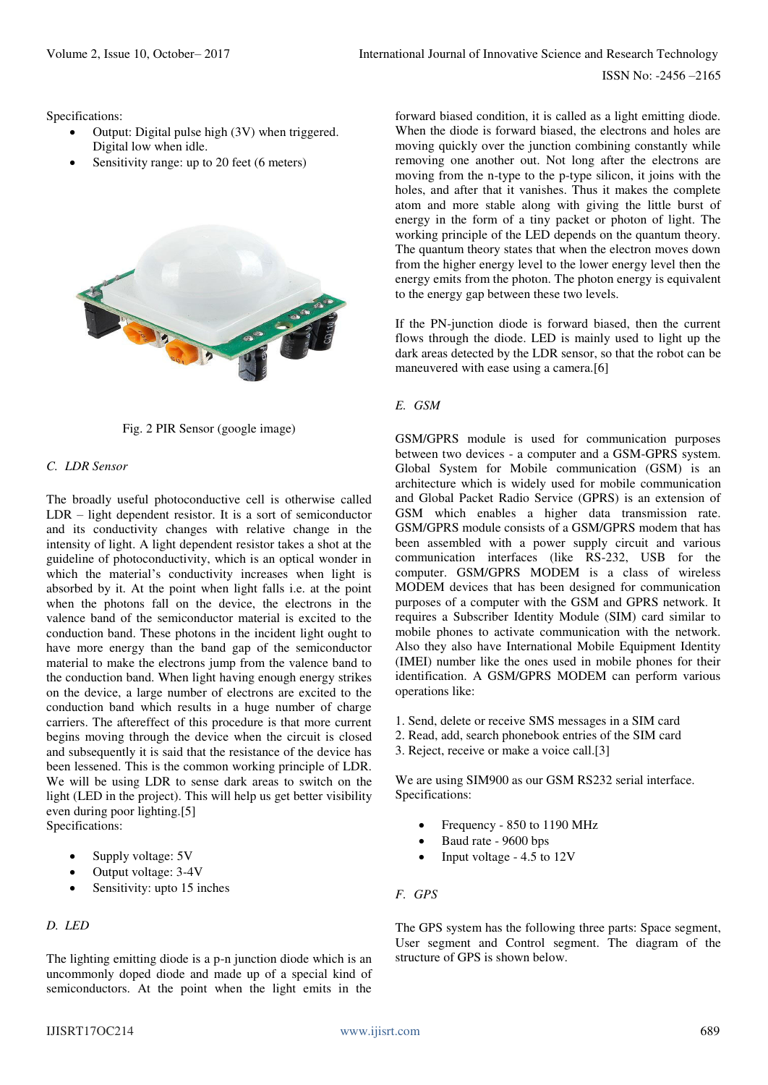Specifications:

- Output: Digital pulse high (3V) when triggered. Digital low when idle.
- Sensitivity range: up to 20 feet (6 meters)





## *C. LDR Sensor*

The broadly useful photoconductive cell is otherwise called LDR – light dependent resistor. It is a sort of semiconductor and its conductivity changes with relative change in the intensity of light. A light dependent resistor takes a shot at the guideline of photoconductivity, which is an optical wonder in which the material's conductivity increases when light is absorbed by it. At the point when light falls i.e. at the point when the photons fall on the device, the electrons in the valence band of the semiconductor material is excited to the conduction band. These photons in the incident light ought to have more energy than the band gap of the semiconductor material to make the electrons jump from the valence band to the conduction band. When light having enough energy strikes on the device, a large number of electrons are excited to the conduction band which results in a huge number of charge carriers. The aftereffect of this procedure is that more current begins moving through the device when the circuit is closed and subsequently it is said that the resistance of the device has been lessened. This is the common working principle of LDR. We will be using LDR to sense dark areas to switch on the light (LED in the project). This will help us get better visibility even during poor lighting.[5] Specifications:

- Supply voltage: 5V
- Output voltage: 3-4V
- Sensitivity: upto 15 inches

## *D. LED*

The lighting emitting diode is a p-n junction diode which is an uncommonly doped diode and made up of a special kind of semiconductors. At the point when the light emits in the

forward biased condition, it is called as a light emitting diode. When the diode is forward biased, the electrons and holes are moving quickly over the junction combining constantly while removing one another out. Not long after the electrons are moving from the n-type to the p-type silicon, it joins with the holes, and after that it vanishes. Thus it makes the complete atom and more stable along with giving the little burst of energy in the form of a tiny packet or photon of light. The working principle of the LED depends on the quantum theory. The quantum theory states that when the electron moves down from the higher energy level to the lower energy level then the energy emits from the photon. The photon energy is equivalent to the energy gap between these two levels.

If the PN-junction diode is forward biased, then the current flows through the diode. LED is mainly used to light up the dark areas detected by the LDR sensor, so that the robot can be maneuvered with ease using a camera.[6]

## *E. GSM*

GSM/GPRS module is used for communication purposes between two devices - a computer and a GSM-GPRS system. Global System for Mobile communication (GSM) is an architecture which is widely used for mobile communication and Global Packet Radio Service (GPRS) is an extension of GSM which enables a higher data transmission rate. GSM/GPRS module consists of a GSM/GPRS modem that has been assembled with a power supply circuit and various communication interfaces (like RS-232, USB for the computer. GSM/GPRS MODEM is a class of wireless MODEM devices that has been designed for communication purposes of a computer with the GSM and GPRS network. It requires a Subscriber Identity Module (SIM) card similar to mobile phones to activate communication with the network. Also they also have International Mobile Equipment Identity (IMEI) number like the ones used in mobile phones for their identification. A GSM/GPRS MODEM can perform various operations like:

1. Send, delete or receive SMS messages in a SIM card

- 2. Read, add, search phonebook entries of the SIM card
- 3. Reject, receive or make a voice call.[3]

We are using SIM900 as our GSM RS232 serial interface. Specifications:

- Frequency 850 to 1190 MHz
- Baud rate 9600 bps
- Input voltage 4.5 to 12V

## *F. GPS*

The GPS system has the following three parts: Space segment, User segment and Control segment. The diagram of the structure of GPS is shown below.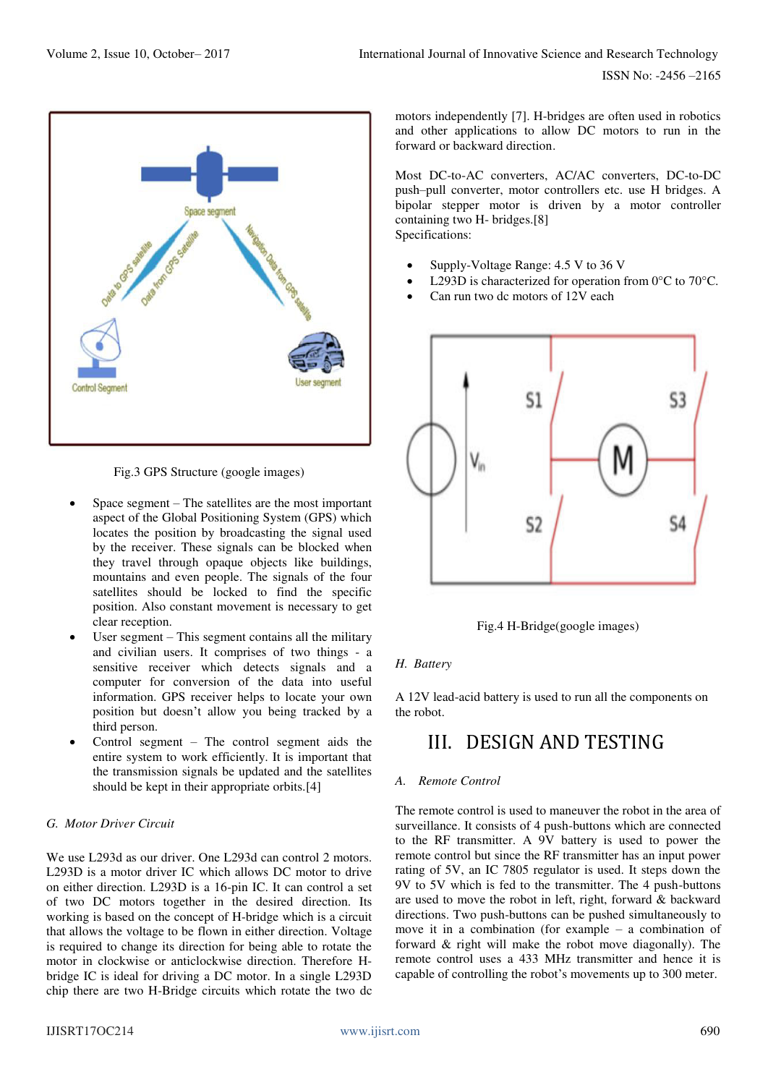

Fig.3 GPS Structure (google images)

- Space segment The satellites are the most important aspect of the Global Positioning System (GPS) which locates the position by broadcasting the signal used by the receiver. These signals can be blocked when they travel through opaque objects like buildings, mountains and even people. The signals of the four satellites should be locked to find the specific position. Also constant movement is necessary to get clear reception.
- User segment This segment contains all the military and civilian users. It comprises of two things - a sensitive receiver which detects signals and a computer for conversion of the data into useful information. GPS receiver helps to locate your own position but doesn't allow you being tracked by a third person.
- Control segment The control segment aids the entire system to work efficiently. It is important that the transmission signals be updated and the satellites should be kept in their appropriate orbits.[4]

## *G. Motor Driver Circuit*

We use L293d as our driver. One L293d can control 2 motors. L293D is a motor driver IC which allows DC motor to drive on either direction. L293D is a 16-pin IC. It can control a set of two DC motors together in the desired direction. Its working is based on the concept of H-bridge which is a circuit that allows the voltage to be flown in either direction. Voltage is required to change its direction for being able to rotate the motor in clockwise or anticlockwise direction. Therefore Hbridge IC is ideal for driving a DC motor. In a single L293D chip there are two H-Bridge circuits which rotate the two dc motors independently [7]. H-bridges are often used in robotics and other applications to allow DC motors to run in the forward or backward direction.

Most DC-to-AC converters, AC/AC converters, DC-to-DC push–pull converter, motor controllers etc. use H bridges. A bipolar stepper motor is driven by a motor controller containing two H- bridges.[8] Specifications:

- Supply-Voltage Range: 4.5 V to 36 V
- L293D is characterized for operation from 0°C to 70°C.
- Can run two dc motors of 12V each



Fig.4 H-Bridge(google images)

## *H. Battery*

A 12V lead-acid battery is used to run all the components on the robot.

## III. DESIGN AND TESTING

## *A. Remote Control*

The remote control is used to maneuver the robot in the area of surveillance. It consists of 4 push-buttons which are connected to the RF transmitter. A 9V battery is used to power the remote control but since the RF transmitter has an input power rating of 5V, an IC 7805 regulator is used. It steps down the 9V to 5V which is fed to the transmitter. The 4 push-buttons are used to move the robot in left, right, forward & backward directions. Two push-buttons can be pushed simultaneously to move it in a combination (for example – a combination of forward & right will make the robot move diagonally). The remote control uses a 433 MHz transmitter and hence it is capable of controlling the robot's movements up to 300 meter.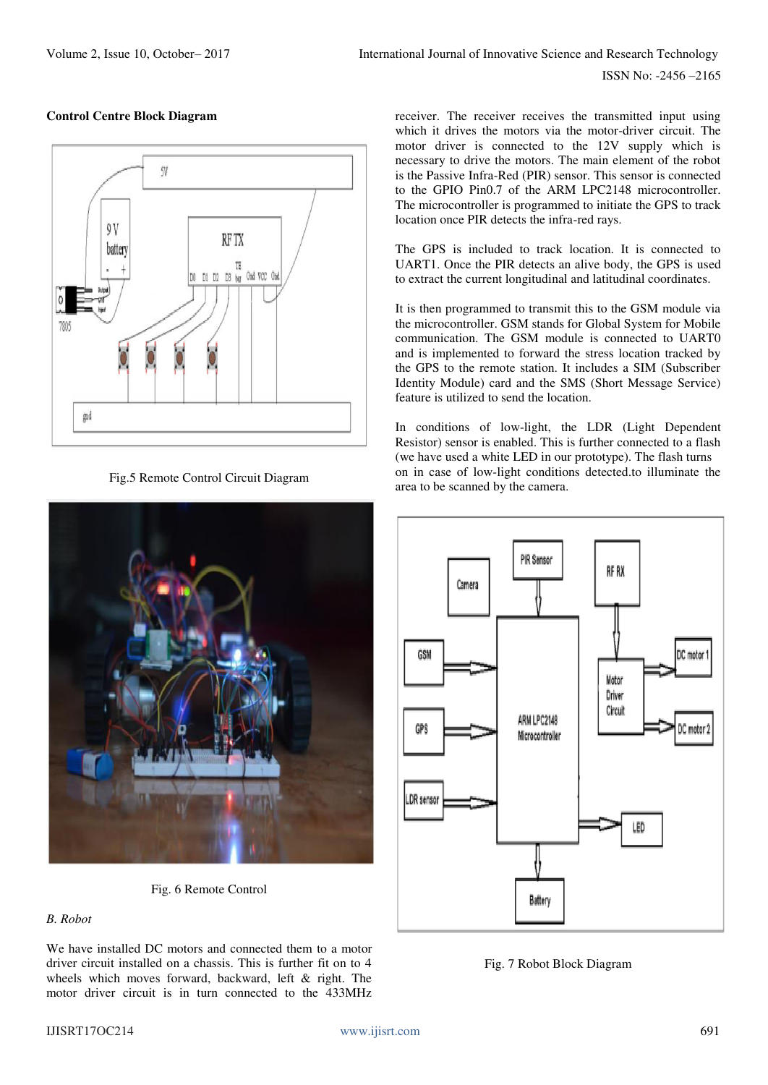ISSN No: -2456 –2165



## **Control Centre Block Diagram**

Fig.5 Remote Control Circuit Diagram



Fig. 6 Remote Control

## *B. Robot*

We have installed DC motors and connected them to a motor driver circuit installed on a chassis. This is further fit on to 4 wheels which moves forward, backward, left & right. The motor driver circuit is in turn connected to the 433MHz

receiver. The receiver receives the transmitted input using which it drives the motors via the motor-driver circuit. The motor driver is connected to the 12V supply which is necessary to drive the motors. The main element of the robot is the Passive Infra-Red (PIR) sensor. This sensor is connected to the GPIO Pin0.7 of the ARM LPC2148 microcontroller. The microcontroller is programmed to initiate the GPS to track location once PIR detects the infra-red rays.

The GPS is included to track location. It is connected to UART1. Once the PIR detects an alive body, the GPS is used to extract the current longitudinal and latitudinal coordinates.

It is then programmed to transmit this to the GSM module via the microcontroller. GSM stands for Global System for Mobile communication. The GSM module is connected to UART0 and is implemented to forward the stress location tracked by the GPS to the remote station. It includes a SIM (Subscriber Identity Module) card and the SMS (Short Message Service) feature is utilized to send the location.

In conditions of low-light, the LDR (Light Dependent Resistor) sensor is enabled. This is further connected to a flash (we have used a white LED in our prototype). The flash turns on in case of low-light conditions detected.to illuminate the area to be scanned by the camera.



Fig. 7 Robot Block Diagram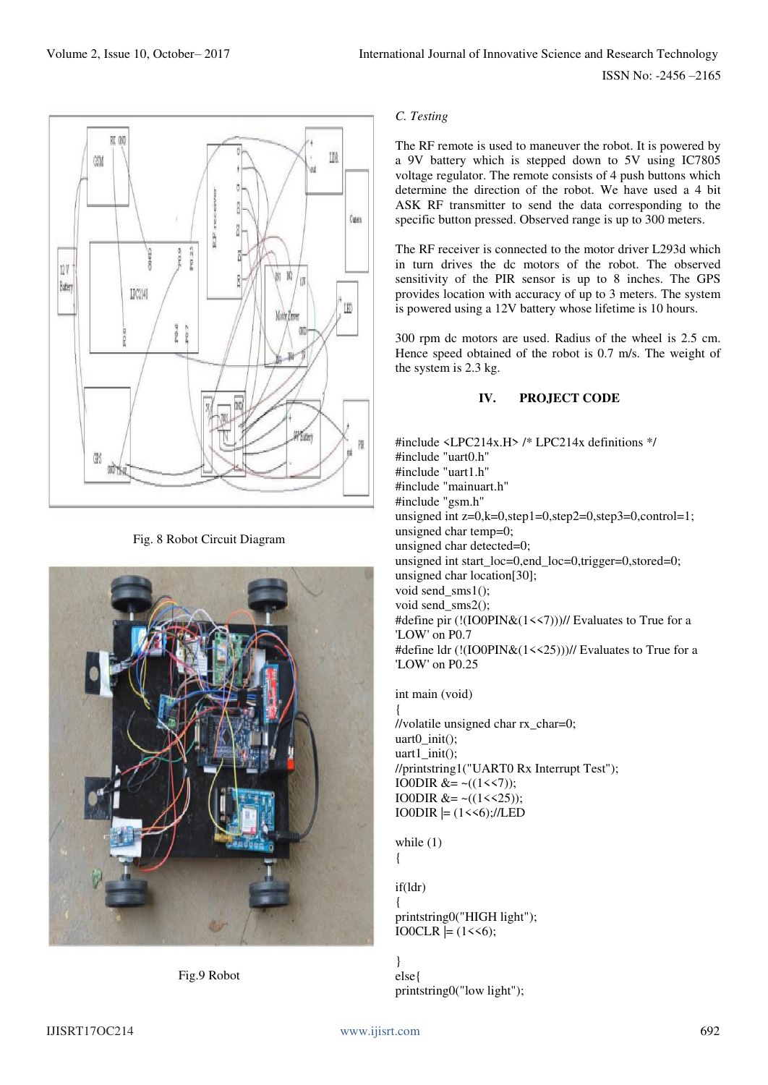ISSN No: -2456 –2165



Fig. 8 Robot Circuit Diagram



Fig.9 Robot

## *C. Testing*

The RF remote is used to maneuver the robot. It is powered by a 9V battery which is stepped down to 5V using IC7805 voltage regulator. The remote consists of 4 push buttons which determine the direction of the robot. We have used a 4 bit ASK RF transmitter to send the data corresponding to the specific button pressed. Observed range is up to 300 meters.

The RF receiver is connected to the motor driver L293d which in turn drives the dc motors of the robot. The observed sensitivity of the PIR sensor is up to 8 inches. The GPS provides location with accuracy of up to 3 meters. The system is powered using a 12V battery whose lifetime is 10 hours.

300 rpm dc motors are used. Radius of the wheel is 2.5 cm. Hence speed obtained of the robot is 0.7 m/s. The weight of the system is 2.3 kg.

## **IV. PROJECT CODE**

#include <LPC214x.H> /\* LPC214x definitions \*/ #include "uart0.h" #include "uart1.h" #include "mainuart.h" #include "gsm.h" unsigned int  $z=0, k=0, step1=0, step2=0, step3=0, control=1;$ unsigned char temp=0; unsigned char detected=0; unsigned int start  $loc=0$ ,end  $loc=0$ ,trigger=0,stored=0; unsigned char location[30]; void send\_sms1(); void send\_sms2(); #define pir (!(IO0PIN&(1<<7)))// Evaluates to True for a 'LOW' on P0.7 #define ldr (!(IO0PIN&(1<<25)))// Evaluates to True for a 'LOW' on P0.25

int main (void)

{ //volatile unsigned char rx\_char=0; uart0 init(); uart1\_init(); //printstring1("UART0 Rx Interrupt Test"); IO0DIR  $&=-((1\leq 7));$ IO0DIR  $&= \sim ((1 \le 25))$ ;  $IOODIR \models (1 \leq 6)$ ;//LED

while  $(1)$ 

{

if(ldr)

{ printstring0("HIGH light");  $IO0CLR \models (1 \leq 6);$ 

} else{ printstring0("low light");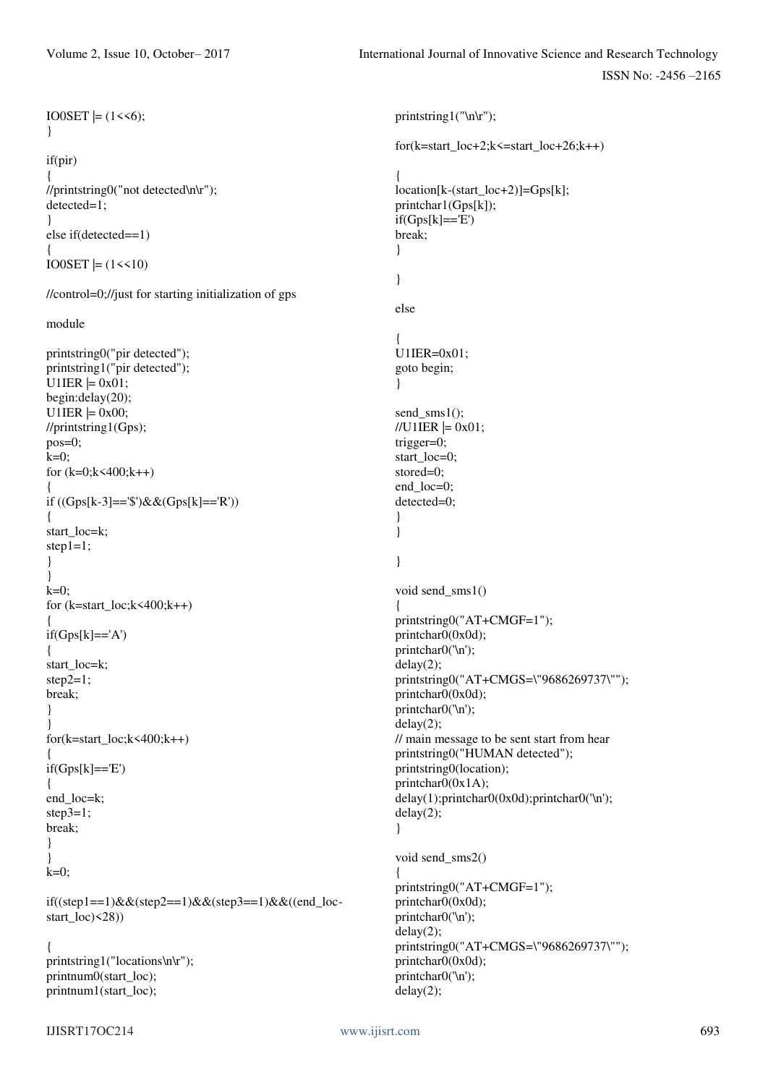ISSN No: -2456 –2165

```
IJISRT17OC214 www.ijisrt.com 693
IO0SET \mid = (1 \le 6);} 
if(pir) 
{ 
//printstring0("not detected\n\r"); 
detected=1; 
} 
else if(detected==1) 
{ 
IO0SET \mid = (1 \le 10)//control=0;//just for starting initialization of gps 
module 
printstring0("pir detected"); 
printstring1("pir detected"); 
U1IER = 0x01;
begin:delay(20); 
U1IER = 0x00;
//printstring1(Gps); 
pos=0; 
k=0;
for (k=0; k<400; k++){ 
if ((Gps[k-3]=-\$')&&((Gps[k]=-'R')){ 
start_loc=k;
step1=1;
} 
} 
k=0;
for (k=start\_loc; k\leq 400; k++){ 
if(Gps[k]=='A'){ 
start_loc=k; 
step2=1; 
break; 
} 
} 
for(k=start_loc;k<400;k++) 
{ 
if(Gps[k]=E'){ 
end_loc=k; 
step3=1; 
break; 
} 
} 
k=0:
if((step1==1)&&(step2==1)&&(step3==1)&&((end_loc-
start_loc)<28)) 
{ 
printstring1("locations\n\r"); 
printnum0(start_loc); 
printnum1(start_loc); 
                                                                  printstring1("\n\r"); 
                                                                  for(k=start\_loc+2; k\leq=start\_loc+26; k++){ 
                                                                  location[k-(start_loc+2)]=Gps[k]; 
                                                                  printchar1(Gps[k]); 
                                                                  if(Gps[k]=E')break; 
                                                                  } 
                                                                  } 
                                                                  else 
                                                                   { 
                                                                  U1IER=0x01;
                                                                  goto begin; 
                                                                  } 
                                                                  send sms1();
                                                                  //U1IER |= 0x01;trigger=0; 
                                                                  start_loc=0; 
                                                                  stored=0; 
                                                                  end_loc=0; 
                                                                  detected=0; 
                                                                   } 
                                                                  } 
                                                                  } 
                                                                  void send_sms1() 
                                                                   { 
                                                                  printstring0("AT+CMGF=1"); 
                                                                  printchar0(0x0d); 
                                                                  printchar0('\n');
                                                                  delay(2); 
                                                                  printstring0("AT+CMGS=\"9686269737\""); 
                                                                  printchar0(0x0d);
                                                                  printchar0('\n');
                                                                  delay(2); 
                                                                  // main message to be sent start from hear 
                                                                  printstring0("HUMAN detected"); 
                                                                  printstring0(location); 
                                                                  printchar0(0x1A);
                                                                  delay(1);printchar0(0x0d);printchar0('\n'); 
                                                                  delay(2); 
                                                                  } 
                                                                  void send_sms2() 
                                                                  { 
                                                                  printstring0("AT+CMGF=1"); 
                                                                  printchar0(0x0d);
                                                                  printchar0('\n');
                                                                  delay(2); 
                                                                  printstring0("AT+CMGS=\"9686269737\""); 
                                                                  printchar0(0x0d);
                                                                  printchar0('\n');
                                                                  delay(2);
```